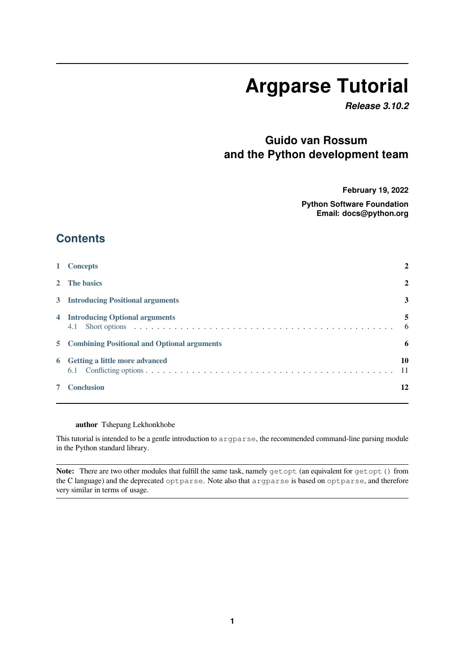# **Argparse Tutorial**

*Release 3.10.2*

# **Guido van Rossum and the Python development team**

**February 19, 2022**

**Python Software Foundation Email: docs@python.org**

## **Contents**

|   | <b>Concepts</b>                               | 2            |
|---|-----------------------------------------------|--------------|
|   | 2 The basics                                  | $\mathbf{2}$ |
|   | 3 Introducing Positional arguments            | 3            |
|   | 4 Introducing Optional arguments              | 5<br>-6      |
|   | 5 Combining Positional and Optional arguments | 6            |
| 6 | Getting a little more advanced                | 10<br>-11    |
|   | <b>Conclusion</b>                             | 12           |

### **[author](#page-11-0)** Tshepang Lekhonkhobe

This tutorial is intended to be a gentle introduction to argparse, the recommended command-line parsing module in the Python standard library.

**Note:** There are two other modules that fulfill the same task, namely getopt (an equivalent for getopt() from the C language) and the deprecated optparse. Note also that argparse is based on optparse, and therefore very similar in terms of usage.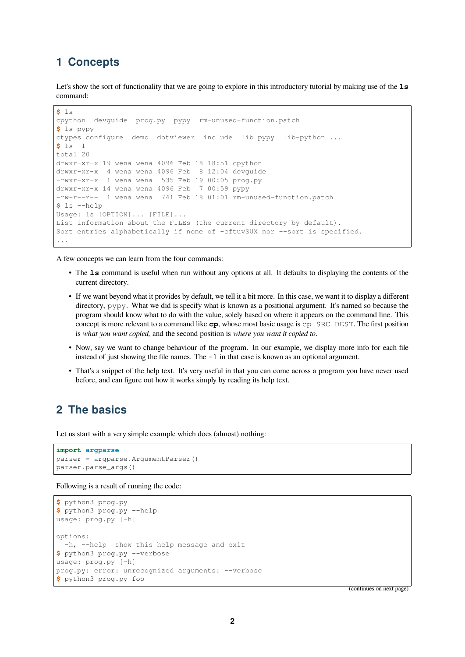### <span id="page-1-0"></span>**1 Concepts**

Let's show the sort of functionality that we are going to explore in this introductory tutorial by making use of the 1s command:

```
$ ls
cpython devguide prog.py pypy rm-unused-function.patch
$ ls pypy
ctypes_configure demo dotviewer include lib_pypy lib-python ...
$ ls -l
total 20
drwxr-xr-x 19 wena wena 4096 Feb 18 18:51 cpython
drwxr-xr-x 4 wena wena 4096 Feb 8 12:04 devguide
-rwxr-xr-x 1 wena wena 535 Feb 19 00:05 prog.py
drwxr-xr-x 14 wena wena 4096 Feb 7 00:59 pypy
-rw-r--r-- 1 wena wena 741 Feb 18 01:01 rm-unused-function.patch
$ ls --help
Usage: ls [OPTION]... [FILE]...
List information about the FILEs (the current directory by default).
Sort entries alphabetically if none of -cftuvSUX nor --sort is specified.
...
```
A few concepts we can learn from the four commands:

- The **ls** command is useful when run without any options at all. It defaults to displaying the contents of the current directory.
- If we want beyond what it provides by default, we tell it a bit more. In this case, we want it to display a different directory, pypy. What we did is specify what is known as a positional argument. It's named so because the program should know what to do with the value, solely based on where it appears on the command line. This concept is more relevant to a command like **cp**, whose most basic usage is cp SRC DEST. The first position is *what you want copied,* and the second position is *where you want it copied to*.
- Now, say we want to change behaviour of the program. In our example, we display more info for each file instead of just showing the file names. The  $-1$  in that case is known as an optional argument.
- That's a snippet of the help text. It's very useful in that you can come across a program you have never used before, and can figure out how it works simply by reading its help text.

### <span id="page-1-1"></span>**2 The basics**

Let us start with a very simple example which does (almost) nothing:

```
import argparse
parser = argparse.ArgumentParser()
parser.parse_args()
```
Following is a result of running the code:

```
$ python3 prog.py
$ python3 prog.py --help
usage: prog.py [-h]
options:
 -h, --help show this help message and exit
$ python3 prog.py --verbose
usage: prog.py [-h]
prog.py: error: unrecognized arguments: --verbose
$ python3 prog.py foo
```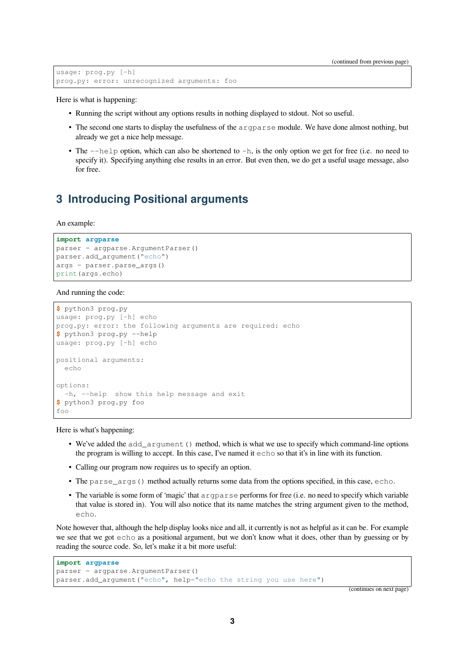```
usage: prog.py [-h]
prog.py: error: unrecognized arguments: foo
```
Here is what is happening:

- Running the script without any options results in nothing displayed to stdout. Not so useful.
- The second one starts to display the usefulness of the argparse module. We have done almost nothing, but already we get a nice help message.
- The  $-\text{help}$  option, which can also be shortened to  $-h$ , is the only option we get for free (i.e. no need to specify it). Specifying anything else results in an error. But even then, we do get a useful usage message, also for free.

### <span id="page-2-0"></span>**3 Introducing Positional arguments**

#### An example:

```
import argparse
parser = argparse.ArgumentParser()
parser.add_argument("echo")
args = parser.parse_args()
print(args.echo)
```
#### And running the code:

```
$ python3 prog.py
usage: prog.py [-h] echo
prog.py: error: the following arguments are required: echo
$ python3 prog.py --help
usage: prog.py [-h] echo
positional arguments:
 echo
options:
 -h, --help show this help message and exit
$ python3 prog.py foo
foo
```
Here is what's happening:

- We've added the add\_argument() method, which is what we use to specify which command-line options the program is willing to accept. In this case, I've named it echo so that it's in line with its function.
- Calling our program now requires us to specify an option.
- The parse\_args() method actually returns some data from the options specified, in this case, echo.
- The variable is some form of 'magic' that argparse performs for free (i.e. no need to specify which variable that value is stored in). You will also notice that its name matches the string argument given to the method, echo.

Note however that, although the help display looks nice and all, it currently is not as helpful as it can be. For example we see that we got echo as a positional argument, but we don't know what it does, other than by guessing or by reading the source code. So, let's make it a bit more useful:

```
import argparse
parser = argparse.ArgumentParser()
parser.add_argument("echo", help="echo the string you use here")
```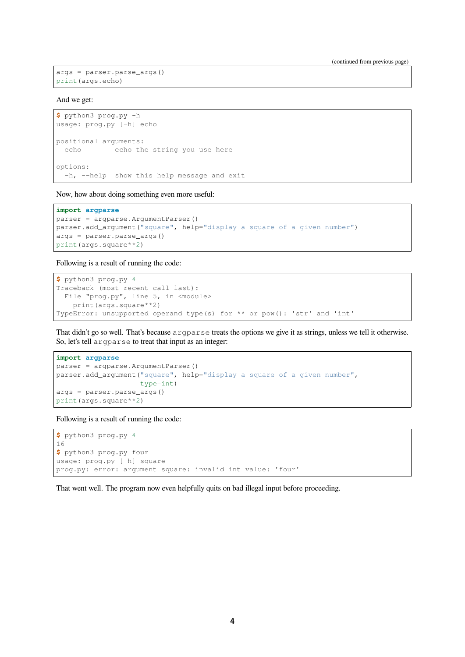```
args = parser.parse_args()
print(args.echo)
```
And we get:

```
$ python3 prog.py -h
usage: prog.py [-h] echo
positional arguments:
 echo echo the string you use here
options:
 -h, --help show this help message and exit
```
Now, how about doing something even more useful:

#### **import argparse**

```
parser = argparse.ArgumentParser()
parser.add_argument("square", help="display a square of a given number")
args = parser.parse_args()
print(args.square**2)
```
Following is a result of running the code:

```
$ python3 prog.py 4
Traceback (most recent call last):
 File "prog.py", line 5, in <module>
   print(args.square**2)
TypeError: unsupported operand type(s) for ** or pow(): 'str' and 'int'
```
That didn't go so well. That's because argparse treats the options we give it as strings, unless we tell it otherwise. So, let's tell argparse to treat that input as an integer:

```
import argparse
parser = argparse.ArgumentParser()
parser.add_argument("square", help="display a square of a given number",
                    type=int)
args = parser.parse_args()
print(args.square**2)
```
Following is a result of running the code:

```
$ python3 prog.py 4
16
$ python3 prog.py four
usage: prog.py [-h] square
prog.py: error: argument square: invalid int value: 'four'
```
That went well. The program now even helpfully quits on bad illegal input before proceeding.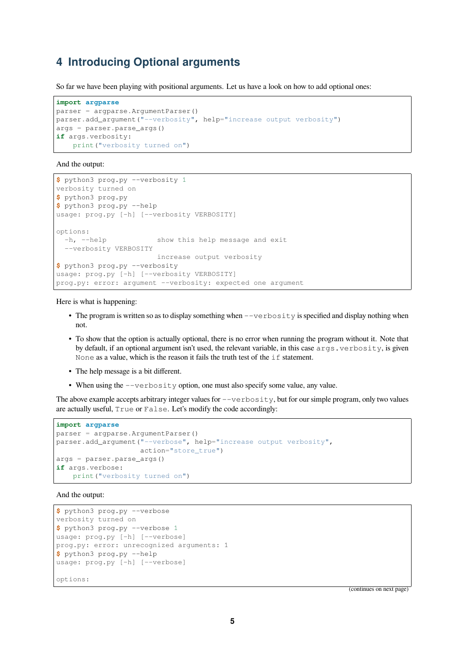### <span id="page-4-0"></span>**4 Introducing Optional arguments**

So far we have been playing with positional arguments. Let us have a look on how to add optional ones:

```
import argparse
parser = argparse.ArgumentParser()
parser.add_argument("--verbosity", help="increase output verbosity")
args = parser.parse_args()
if args.verbosity:
    print("verbosity turned on")
```
And the output:

```
$ python3 prog.py --verbosity 1
verbosity turned on
$ python3 prog.py
$ python3 prog.py --help
usage: prog.py [-h] [--verbosity VERBOSITY]
options:
 -h, --help show this help message and exit
  --verbosity VERBOSITY
                       increase output verbosity
$ python3 prog.py --verbosity
usage: prog.py [-h] [--verbosity VERBOSITY]
prog.py: error: argument --verbosity: expected one argument
```
Here is what is happening:

- The program is written so as to display something when  $-\nu$ erbosity is specified and display nothing when not.
- To show that the option is actually optional, there is no error when running the program without it. Note that by default, if an optional argument isn't used, the relevant variable, in this case args, verbosity, is given None as a value, which is the reason it fails the truth test of the if statement.
- The help message is a bit different.
- When using the  $-$ verbosity option, one must also specify some value, any value.

The above example accepts arbitrary integer values for  $-\text{versosity}$ , but for our simple program, only two values are actually useful, True or False. Let's modify the code accordingly:

```
import argparse
parser = argparse.ArgumentParser()
parser.add_argument("--verbose", help="increase output verbosity",
                    action="store_true")
args = parser.parse_args()
if args.verbose:
    print("verbosity turned on")
```
And the output:

```
$ python3 prog.py --verbose
verbosity turned on
$ python3 prog.py --verbose 1
usage: prog.py [-h] [--verbose]
prog.py: error: unrecognized arguments: 1
$ python3 prog.py --help
usage: prog.py [-h] [--verbose]
options:
```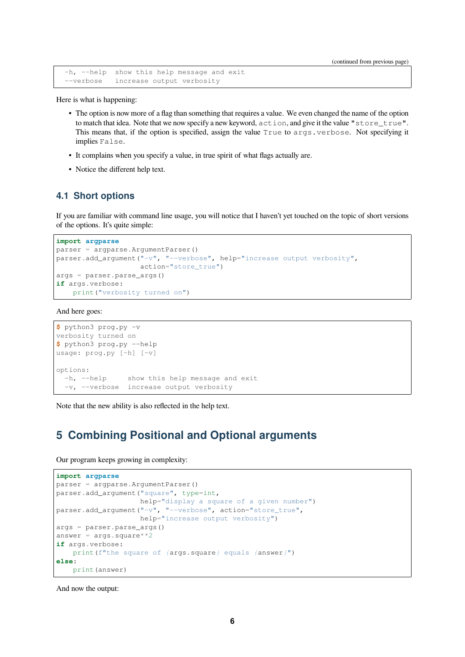(continued from previous page)

```
-h, --help show this help message and exit
--verbose increase output verbosity
```
Here is what is happening:

- The option is now more of a flag than something that requires a value. We even changed the name of the option to match that idea. Note that we now specify a new keyword, action, and give it the value "store\_true". This means that, if the option is specified, assign the value True to args. verbose. Not specifying it implies False.
- It complains when you specify a value, in true spirit of what flags actually are.
- Notice the different help text.

### <span id="page-5-0"></span>**4.1 Short options**

If you are familiar with command line usage, you will notice that I haven't yet touched on the topic of short versions of the options. It's quite simple:

```
import argparse
parser = argparse.ArgumentParser()
parser.add_argument("-v", "--verbose", help="increase output verbosity",
                    action="store_true")
args = parser.parse_args()
if args.verbose:
    print("verbosity turned on")
```
And here goes:

```
$ python3 prog.py -v
verbosity turned on
$ python3 prog.py --help
usage: prog.py [-h] [-v]
options:
 -h, --help show this help message and exit
 -v, --verbose increase output verbosity
```
Note that the new ability is also reflected in the help text.

### <span id="page-5-1"></span>**5 Combining Positional and Optional arguments**

Our program keeps growing in complexity:

```
import argparse
parser = argparse.ArgumentParser()
parser.add_argument("square", type=int,
                   help="display a square of a given number")
parser.add_argument("-v", "--verbose", action="store_true",
                   help="increase output verbosity")
args = parser.parse_args()
answer = \arg s \cdot \sqrt{3}if args.verbose:
   print(f"the square of {args.square} equals {answer}")
else:
   print(answer)
```
And now the output: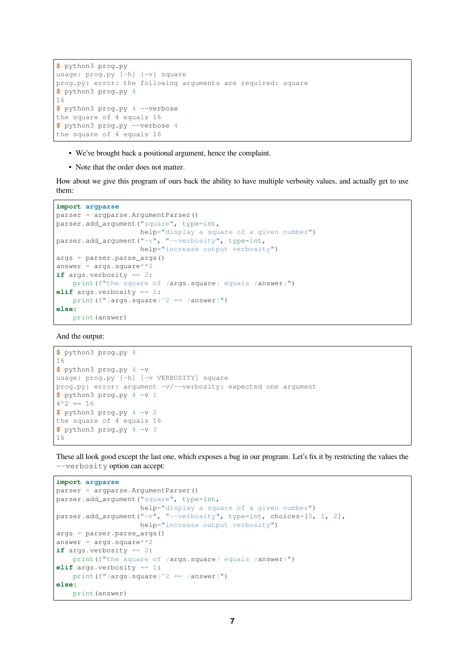```
$ python3 prog.py
usage: prog.py [-h] [-v] square
prog.py: error: the following arguments are required: square
$ python3 prog.py 4
16
$ python3 prog.py 4 --verbose
the square of 4 equals 16
$ python3 prog.py --verbose 4
the square of 4 equals 16
```
- We've brought back a positional argument, hence the complaint.
- Note that the order does not matter.

How about we give this program of ours back the ability to have multiple verbosity values, and actually get to use them:

```
import argparse
parser = argparse.ArgumentParser()
parser.add_argument("square", type=int,
                    help="display a square of a given number")
parser.add_argument("-v", "--verbosity", type=int,
                    help="increase output verbosity")
args = parser.parse_args()
answer = args.\squareif args.verbosity == 2:
   print(f"the square of {args.square} equals {answer}")
elif args.verbosity == 1:
   print(f"{args.square}^2 == {answer}")
else:
    print(answer)
```
And the output:

```
$ python3 prog.py 4
16
$ python3 prog.py 4 -v
usage: prog.py [-h] [-v VERBOSITY] square
prog.py: error: argument -v/--verbosity: expected one argument
$ python3 prog.py 4 -v 1
4^{\wedge}2 = 16$ python3 prog.py 4 -v 2
the square of 4 equals 16
$ python3 prog.py 4 -v 3
16
```
These all look good except the last one, which exposes a bug in our program. Let's fix it by restricting the values the --verbosity option can accept:

```
import argparse
parser = argparse.ArgumentParser()
parser.add_argument("square", type=int,
                    help="display a square of a given number")
parser.add_argument("-v", "--verbosity", type=int, choices=[0, 1, 2],
                   help="increase output verbosity")
args = parser.parse_args()
answer = args.\squareif args.verbosity == 2:
   print(f"the square of {args.square} equals {answer}")
elif args.verbosity == 1:
   print(f"{args.square}^2 == {answer}")
else:
   print(answer)
```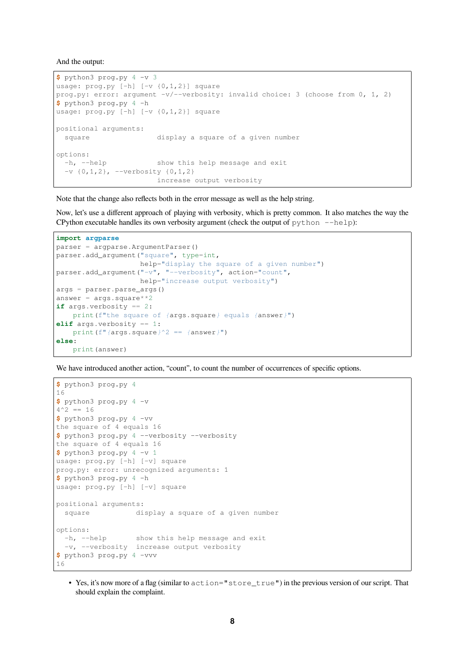And the output:

```
$ python3 prog.py 4 -v 3
usage: prog.py [-h] [-v {0,1,2}] square
prog.py: error: argument -v/--verbosity: invalid choice: 3 (choose from 0, 1, 2)
$ python3 prog.py 4 -h
usage: prog.py [-h] [-v {0,1,2}] square
positional arguments:
 square display a square of a given number
options:
 -h, --help show this help message and exit
 -v {0,1,2}, --verbosity {0,1,2}
                      increase output verbosity
```
Note that the change also reflects both in the error message as well as the help string.

Now, let's use a different approach of playing with verbosity, which is pretty common. It also matches the way the CPython executable handles its own verbosity argument (check the output of  $python$  --help):

```
import argparse
parser = argparse.ArgumentParser()
parser.add_argument("square", type=int,
                   help="display the square of a given number")
parser.add_argument("-v", "--verbosity", action="count",
                   help="increase output verbosity")
args = parser.parse_args()
answer = \arcsin \arctan xif args.verbosity == 2:
   print(f"the square of {args.square} equals {answer}")
elif args.verbosity == 1:
   print(f"{args.square}^2 == {answer}")
else:
   print(answer)
```
We have introduced another action, "count", to count the number of occurrences of specific options.

```
$ python3 prog.py 4
16
$ python3 prog.py 4 -v
4^{\wedge}2 = 16$ python3 prog.py 4 -vv
the square of 4 equals 16
$ python3 prog.py 4 --verbosity --verbosity
the square of 4 equals 16
$ python3 prog.py 4 -v 1
usage: prog.py [-h] [-v] square
prog.py: error: unrecognized arguments: 1
$ python3 prog.py 4 -h
usage: prog.py [-h] [-v] square
positional arguments:
 square display a square of a given number
options:
  -h, --help show this help message and exit
  -v, --verbosity increase output verbosity
$ python3 prog.py 4 -vvv
16
```
• Yes, it's now more of a flag (similar to action="store\_true") in the previous version of our script. That should explain the complaint.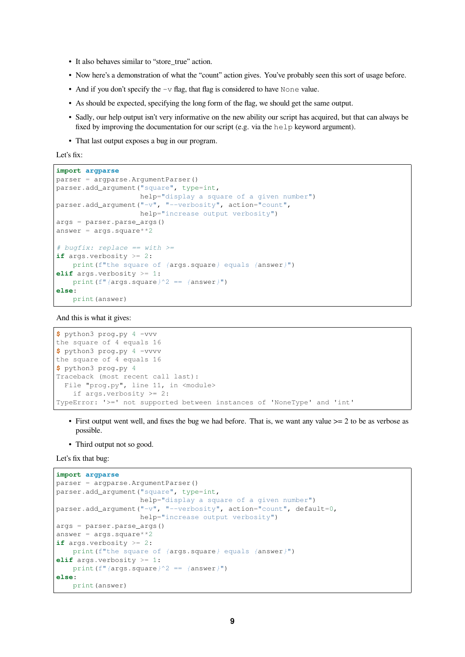- It also behaves similar to "store true" action.
- Now here's a demonstration of what the "count" action gives. You've probably seen this sort of usage before.
- And if you don't specify the  $-v$  flag, that flag is considered to have None value.
- As should be expected, specifying the long form of the flag, we should get the same output.
- Sadly, our help output isn't very informative on the new ability our script has acquired, but that can always be fixed by improving the documentation for our script (e.g. via the help keyword argument).
- That last output exposes a bug in our program.

Let's fix:

```
import argparse
parser = argparse.ArgumentParser()
parser.add_argument("square", type=int,
                    help="display a square of a given number")
parser.add_argument("-v", "--verbosity", action="count",
                    help="increase output verbosity")
args = parser.parse_args()
answer = args \cdot square \cdot *2# bugfix: replace == with >=
if args.verbosity >= 2:
   print(f"the square of {args.square} equals {answer}")
elif args.verbosity >= 1:
   print(f"{args.square}^2 == {answer}")
else:
   print(answer)
```
And this is what it gives:

```
$ python3 prog.py 4 -vvv
the square of 4 equals 16
$ python3 prog.py 4 -vvvv
the square of 4 equals 16
$ python3 prog.py 4
Traceback (most recent call last):
 File "prog.py", line 11, in <module>
   if args.verbosity >= 2:
TypeError: '>=' not supported between instances of 'NoneType' and 'int'
```
- First output went well, and fixes the bug we had before. That is, we want any value  $\geq 2$  to be as verbose as possible.
- Third output not so good.

Let's fix that bug:

```
import argparse
parser = argparse.ArgumentParser()
parser.add_argument("square", type=int,
                   help="display a square of a given number")
parser.add_argument("-v", "--verbosity", action="count", default=0,
                   help="increase output verbosity")
args = parser.parse_args()
answer = \arcsin \arctan xif args.verbosity >= 2:
   print(f"the square of {args.square} equals {answer}")
elif args.verbosity >= 1:
  print(f"{args.square}^2 == {answer}")
else:
   print(answer)
```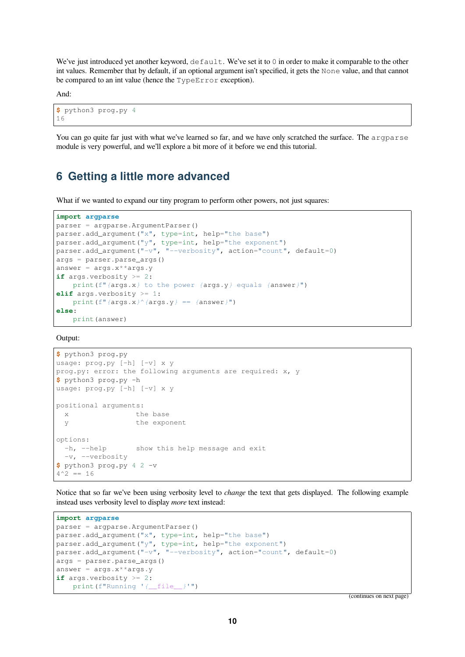We've just introduced yet another keyword,  $\det \text{Aut}$ . We've set it to 0 in order to make it comparable to the other int values. Remember that by default, if an optional argument isn't specified, it gets the None value, and that cannot be compared to an int value (hence the TypeError exception).

And:

```
$ python3 prog.py 4
16
```
You can go quite far just with what we've learned so far, and we have only scratched the surface. The argparse module is very powerful, and we'll explore a bit more of it before we end this tutorial.

### **6 Getting a little more advanced**

What if we wanted to expand our tiny program to perform other powers, not just squares:

```
import argparse
parser = argparse.ArgumentParser()
parser.add_argument("x", type=int, help="the base")
parser.add_argument("y", type=int, help="the exponent")
parser.add_argument("-v", "--verbosity", action="count", default=0)
args = parser.parse_args()
answer = args.x**args.yif args.verbosity >= 2:
   print(f"{args.x} to the power {args.y} equals {answer}")
elif args.verbosity >= 1:
   print(f"{args.x}^{args.y} == {answer}")
else:
    print(answer)
```
Output:

```
$ python3 prog.py
usage: prog.py [-h] [-v] x y
prog.py: error: the following arguments are required: x, y
$ python3 prog.py -h
usage: prog.py [-h] [-v] x y
positional arguments:
 x the base
 y the exponent
options:
 -h, --help show this help message and exit
 -v, --verbosity
$ python3 prog.py 4 2 -v
4^2 == 16
```
Notice that so far we've been using verbosity level to *change* the text that gets displayed. The following example instead uses verbosity level to display *more* text instead:

```
import argparse
parser = argparse.ArgumentParser()
parser.add_argument("x", type=int, help="the base")
parser.add_argument("y", type=int, help="the exponent")
parser.add_argument("-v", "--verbosity", action="count", default=0)
args = parser.parse_args()
answer = \arg s \cdot x^*args.y
if args.verbosity >= 2:
    print(f"Running '{__file__}'")
```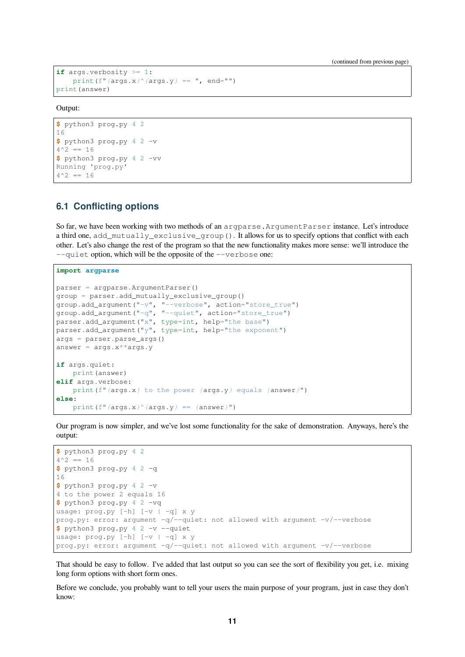```
if args.verbosity >= 1:
   print(f"{args.x}^{args.y} == ", end="")
print(answer)
```
Output:

```
$ python3 prog.py 4 2
16
$ python3 prog.py 4 2 -v
4^{\wedge}2 = 16$ python3 prog.py 4 2 -vv
Running 'prog.py'
4^{\wedge}2 = 16
```
### **6.1 Conflicting options**

So far, we have been working with two methods of an argparse.ArgumentParser instance. Let's introduce a third one, add mutually exclusive group(). It allows for us to specify options that conflict with each other. Let's also change the rest of the program so that the new functionality makes more sense: we'll introduce the --quiet option, which will be the opposite of the --verbose one:

```
import argparse
parser = argparse.ArgumentParser()
group = parser.add_mutually_exclusive_group()
group.add_argument("-v", "--verbose", action="store_true")
group.add_argument("-q", "--quiet", action="store_true")
parser.add_argument("x", type=int, help="the base")
parser.add_argument("y", type=int, help="the exponent")
args = parser.parse_args()
answer = args.x^*args.y
if args.quiet:
   print(answer)
elif args.verbose:
   print(f"{args.x} to the power {args.y} equals {answer}")
else:
    print(f"{args.x}^{args.y} == {answer}")
```
Our program is now simpler, and we've lost some functionality for the sake of demonstration. Anyways, here's the output:

```
$ python3 prog.py 4 2
4^{\wedge}2 = 16$ python3 prog.py 4 2 -q
16
$ python3 prog.py 4 2 -v
4 to the power 2 equals 16
$ python3 prog.py 4 2 -vq
usage: prog.py [-h] [-v | -q] x y
prog.py: error: argument -q/--quiet: not allowed with argument -v/--verbose
$ python3 prog.py 4 2 -v --quiet
usage: prod_{v} [h] [-v] - q x vprog.py: error: argument -q/--quiet: not allowed with argument -v/--verbose
```
That should be easy to follow. I've added that last output so you can see the sort of flexibility you get, i.e. mixing long form options with short form ones.

Before we conclude, you probably want to tell your users the main purpose of your program, just in case they don't know: